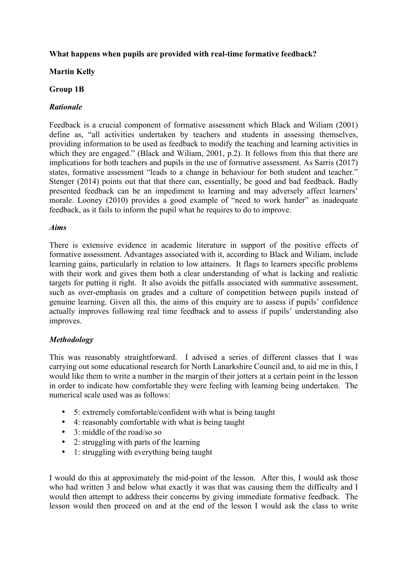## **What happens when pupils are provided with real-time formative feedback?**

### **Martin Kelly**

### **Group 1B**

## *Rationale*

Feedback is a crucial component of formative assessment which Black and Wiliam (2001) define as, "all activities undertaken by teachers and students in assessing themselves, providing information to be used as feedback to modify the teaching and learning activities in which they are engaged." (Black and Wiliam, 2001, p.2). It follows from this that there are implications for both teachers and pupils in the use of formative assessment. As Sarris (2017) states, formative assessment "leads to a change in behaviour for both student and teacher." Stenger (2014) points out that that there can, essentially, be good and bad feedback. Badly presented feedback can be an impediment to learning and may adversely affect learners' morale. Looney (2010) provides a good example of "need to work harder" as inadequate feedback, as it fails to inform the pupil what he requires to do to improve.

#### *Aims*

There is extensive evidence in academic literature in support of the positive effects of formative assessment. Advantages associated with it, according to Black and Wiliam, include learning gains, particularly in relation to low attainers. It flags to learners specific problems with their work and gives them both a clear understanding of what is lacking and realistic targets for putting it right. It also avoids the pitfalls associated with summative assessment, such as over-emphasis on grades and a culture of competition between pupils instead of genuine learning. Given all this, the aims of this enquiry are to assess if pupils' confidence actually improves following real time feedback and to assess if pupils' understanding also improves.

#### *Methodology*

This was reasonably straightforward. I advised a series of different classes that I was carrying out some educational research for North Lanarkshire Council and, to aid me in this, I would like them to write a number in the margin of their jotters at a certain point in the lesson in order to indicate how comfortable they were feeling with learning being undertaken. The numerical scale used was as follows:

- 5: extremely comfortable/confident with what is being taught
- 4: reasonably comfortable with what is being taught
- 3: middle of the road/so so
- 2: struggling with parts of the learning
- 1: struggling with everything being taught

I would do this at approximately the mid-point of the lesson. After this, I would ask those who had written 3 and below what exactly it was that was causing them the difficulty and I would then attempt to address their concerns by giving immediate formative feedback. The lesson would then proceed on and at the end of the lesson I would ask the class to write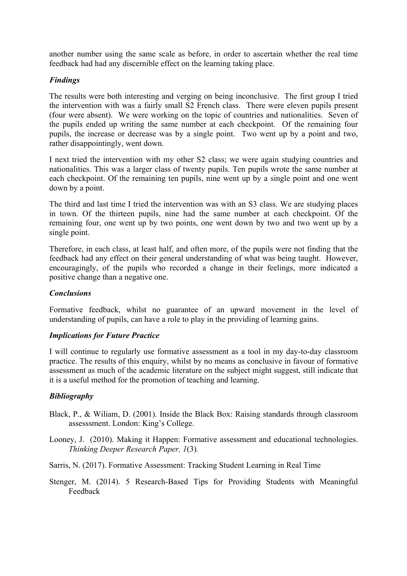another number using the same scale as before, in order to ascertain whether the real time feedback had had any discernible effect on the learning taking place.

## *Findings*

The results were both interesting and verging on being inconclusive. The first group I tried the intervention with was a fairly small S2 French class. There were eleven pupils present (four were absent). We were working on the topic of countries and nationalities. Seven of the pupils ended up writing the same number at each checkpoint. Of the remaining four pupils, the increase or decrease was by a single point. Two went up by a point and two, rather disappointingly, went down.

I next tried the intervention with my other S2 class; we were again studying countries and nationalities. This was a larger class of twenty pupils. Ten pupils wrote the same number at each checkpoint. Of the remaining ten pupils, nine went up by a single point and one went down by a point.

The third and last time I tried the intervention was with an S3 class. We are studying places in town. Of the thirteen pupils, nine had the same number at each checkpoint. Of the remaining four, one went up by two points, one went down by two and two went up by a single point.

Therefore, in each class, at least half, and often more, of the pupils were not finding that the feedback had any effect on their general understanding of what was being taught. However, encouragingly, of the pupils who recorded a change in their feelings, more indicated a positive change than a negative one.

## *Conclusions*

Formative feedback, whilst no guarantee of an upward movement in the level of understanding of pupils, can have a role to play in the providing of learning gains.

#### *Implications for Future Practice*

I will continue to regularly use formative assessment as a tool in my day-to-day classroom practice. The results of this enquiry, whilst by no means as conclusive in favour of formative assessment as much of the academic literature on the subject might suggest, still indicate that it is a useful method for the promotion of teaching and learning.

#### *Bibliography*

- Black, P., & Wiliam, D. (2001). Inside the Black Box: Raising standards through classroom assesssment. London: King's College.
- Looney, J. (2010). Making it Happen: Formative assessment and educational technologies. *Thinking Deeper Research Paper, 1*(3)*.*
- Sarris, N. (2017). Formative Assessment: Tracking Student Learning in Real Time
- Stenger, M. (2014). 5 Research-Based Tips for Providing Students with Meaningful Feedback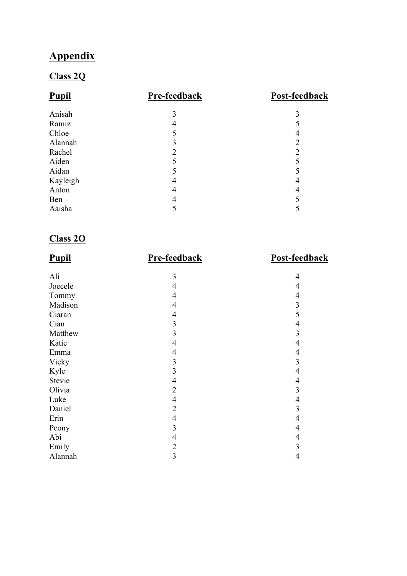# **Appendix**

# **Class 2Q**

| <b>Pupil</b> | Pre-feedback | Post-feedback |
|--------------|--------------|---------------|
| Anisah       | 3            |               |
| Ramiz        |              |               |
| Chloe        |              | 4             |
| Alannah      |              | 2             |
| Rachel       | 2            | っ             |
| Aiden        |              |               |
| Aidan        |              |               |
| Kayleigh     |              | 4             |
| Anton        |              |               |
| Ben          |              |               |
| Aaisha       |              |               |

## **Class 2O**

| <b>Pupil</b> | Pre-feedback   | Post-feedback  |
|--------------|----------------|----------------|
| Ali          | 3              | 4              |
| Joecele      | 4              | 4              |
| Tommy        | $\overline{4}$ | $\overline{4}$ |
| Madison      | $\overline{4}$ | $\mathfrak{Z}$ |
| Ciaran       | 4              | 5              |
| Cian         | 3              | $\overline{4}$ |
| Matthew      | 3              | 3              |
| Katie        | 4              | 4              |
| Emma         | $\overline{4}$ | $\overline{4}$ |
| Vicky        | 3              | 3              |
| Kyle         | 3              | $\overline{4}$ |
| Stevie       | $\overline{4}$ | $\overline{4}$ |
| Olivia       | $\overline{2}$ | 3              |
| Luke         | $\overline{4}$ | 4              |
| Daniel       | $\overline{2}$ | 3              |
| Erin         | 4              | $\overline{4}$ |
| Peony        | 3              | $\overline{4}$ |
| Abi          | 4              | 4              |
| Emily        | $\overline{2}$ | 3              |
| Alannah      | 3              | $\overline{4}$ |